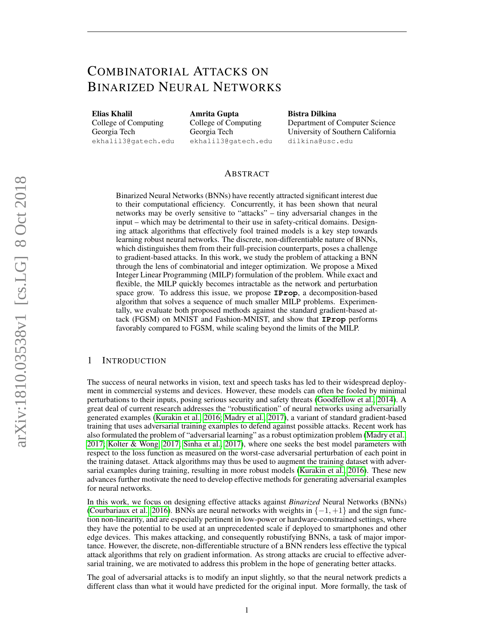# COMBINATORIAL ATTACKS ON BINARIZED NEURAL NETWORKS

Elias Khalil College of Computing Georgia Tech ekhalil3@gatech.edu Amrita Gupta College of Computing Georgia Tech ekhalil3@gatech.edu

Bistra Dilkina Department of Computer Science University of Southern California dilkina@usc.edu

## ABSTRACT

Binarized Neural Networks (BNNs) have recently attracted significant interest due to their computational efficiency. Concurrently, it has been shown that neural networks may be overly sensitive to "attacks" – tiny adversarial changes in the input – which may be detrimental to their use in safety-critical domains. Designing attack algorithms that effectively fool trained models is a key step towards learning robust neural networks. The discrete, non-differentiable nature of BNNs, which distinguishes them from their full-precision counterparts, poses a challenge to gradient-based attacks. In this work, we study the problem of attacking a BNN through the lens of combinatorial and integer optimization. We propose a Mixed Integer Linear Programming (MILP) formulation of the problem. While exact and flexible, the MILP quickly becomes intractable as the network and perturbation space grow. To address this issue, we propose **IProp**, a decomposition-based algorithm that solves a sequence of much smaller MILP problems. Experimentally, we evaluate both proposed methods against the standard gradient-based attack (FGSM) on MNIST and Fashion-MNIST, and show that **IProp** performs favorably compared to FGSM, while scaling beyond the limits of the MILP.

## 1 INTRODUCTION

The success of neural networks in vision, text and speech tasks has led to their widespread deployment in commercial systems and devices. However, these models can often be fooled by minimal perturbations to their inputs, posing serious security and safety threats [\(Goodfellow et al., 2014\)](#page-10-0). A great deal of current research addresses the "robustification" of neural networks using adversarially generated examples [\(Kurakin et al., 2016;](#page-10-1) [Madry et al., 2017\)](#page-11-0), a variant of standard gradient-based training that uses adversarial training examples to defend against possible attacks. Recent work has also formulated the problem of "adversarial learning" as a robust optimization problem [\(Madry et al.,](#page-11-0) [2017;](#page-11-0) [Kolter & Wong, 2017;](#page-10-2) [Sinha et al., 2017\)](#page-11-1), where one seeks the best model parameters with respect to the loss function as measured on the worst-case adversarial perturbation of each point in the training dataset. Attack algorithms may thus be used to augment the training dataset with adversarial examples during training, resulting in more robust models [\(Kurakin et al., 2016\)](#page-10-1). These new advances further motivate the need to develop effective methods for generating adversarial examples for neural networks.

In this work, we focus on designing effective attacks against *Binarized* Neural Networks (BNNs) [\(Courbariaux et al., 2016\)](#page-10-3). BNNs are neural networks with weights in  $\{-1, +1\}$  and the sign function non-linearity, and are especially pertinent in low-power or hardware-constrained settings, where they have the potential to be used at an unprecedented scale if deployed to smartphones and other edge devices. This makes attacking, and consequently robustifying BNNs, a task of major importance. However, the discrete, non-differentiable structure of a BNN renders less effective the typical attack algorithms that rely on gradient information. As strong attacks are crucial to effective adversarial training, we are motivated to address this problem in the hope of generating better attacks.

The goal of adversarial attacks is to modify an input slightly, so that the neural network predicts a different class than what it would have predicted for the original input. More formally, the task of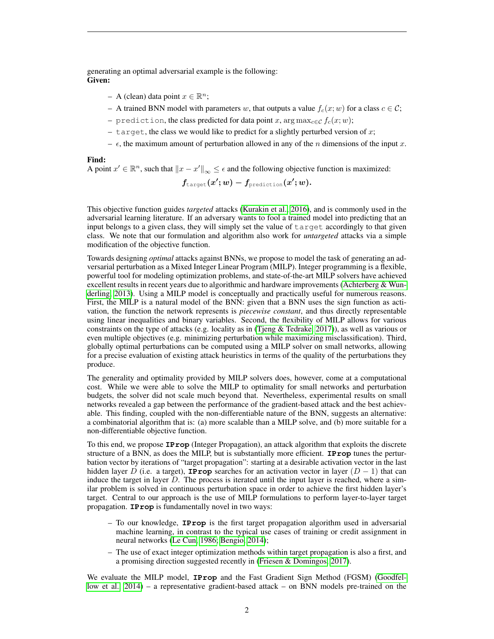generating an optimal adversarial example is the following: Given:

- $A$  (clean) data point  $x \in \mathbb{R}^n$ ;
- A trained BNN model with parameters w, that outputs a value  $f_c(x; w)$  for a class  $c \in \mathcal{C}$ ;
- prediction, the class predicted for data point x, arg  $\max_{c \in \mathcal{C}} f_c(x; w)$ ;
- target, the class we would like to predict for a slightly perturbed version of  $x$ ;
- $\epsilon$ , the maximum amount of perturbation allowed in any of the *n* dimensions of the input x.

Find:

A point  $x' \in \mathbb{R}^n$ , such that  $||x - x'||_{\infty} \leq \epsilon$  and the following objective function is maximized:

$$
f_{\texttt{target}}(x';w) - f_{\texttt{prediction}}(x';w).
$$

This objective function guides *targeted* attacks [\(Kurakin et al., 2016\)](#page-10-1), and is commonly used in the adversarial learning literature. If an adversary wants to fool a trained model into predicting that an input belongs to a given class, they will simply set the value of target accordingly to that given class. We note that our formulation and algorithm also work for *untargeted* attacks via a simple modification of the objective function.

Towards designing *optimal* attacks against BNNs, we propose to model the task of generating an adversarial perturbation as a Mixed Integer Linear Program (MILP). Integer programming is a flexible, powerful tool for modeling optimization problems, and state-of-the-art MILP solvers have achieved excellent results in recent years due to algorithmic and hardware improvements [\(Achterberg & Wun](#page-10-4)[derling, 2013\)](#page-10-4). Using a MILP model is conceptually and practically useful for numerous reasons. First, the MILP is a natural model of the BNN: given that a BNN uses the sign function as activation, the function the network represents is *piecewise constant*, and thus directly representable using linear inequalities and binary variables. Second, the flexibility of MILP allows for various constraints on the type of attacks (e.g. locality as in [\(Tjeng & Tedrake, 2017\)](#page-11-2)), as well as various or even multiple objectives (e.g. minimizing perturbation while maximizing misclassification). Third, globally optimal perturbations can be computed using a MILP solver on small networks, allowing for a precise evaluation of existing attack heuristics in terms of the quality of the perturbations they produce.

The generality and optimality provided by MILP solvers does, however, come at a computational cost. While we were able to solve the MILP to optimality for small networks and perturbation budgets, the solver did not scale much beyond that. Nevertheless, experimental results on small networks revealed a gap between the performance of the gradient-based attack and the best achievable. This finding, coupled with the non-differentiable nature of the BNN, suggests an alternative: a combinatorial algorithm that is: (a) more scalable than a MILP solve, and (b) more suitable for a non-differentiable objective function.

To this end, we propose **IProp** (Integer Propagation), an attack algorithm that exploits the discrete structure of a BNN, as does the MILP, but is substantially more efficient. **IProp** tunes the perturbation vector by iterations of "target propagation": starting at a desirable activation vector in the last hidden layer D (i.e. a target), **IProp** searches for an activation vector in layer  $(D - 1)$  that can induce the target in layer D. The process is iterated until the input layer is reached, where a similar problem is solved in continuous perturbation space in order to achieve the first hidden layer's target. Central to our approach is the use of MILP formulations to perform layer-to-layer target propagation. **IProp** is fundamentally novel in two ways:

- To our knowledge, **IProp** is the first target propagation algorithm used in adversarial machine learning, in contrast to the typical use cases of training or credit assignment in neural networks [\(Le Cun, 1986;](#page-11-3) [Bengio, 2014\)](#page-10-5);
- The use of exact integer optimization methods within target propagation is also a first, and a promising direction suggested recently in [\(Friesen & Domingos, 2017\)](#page-10-6).

We evaluate the MILP model, **IProp** and the Fast Gradient Sign Method (FGSM) [\(Goodfel](#page-10-0)[low et al., 2014\)](#page-10-0) – a representative gradient-based attack – on BNN models pre-trained on the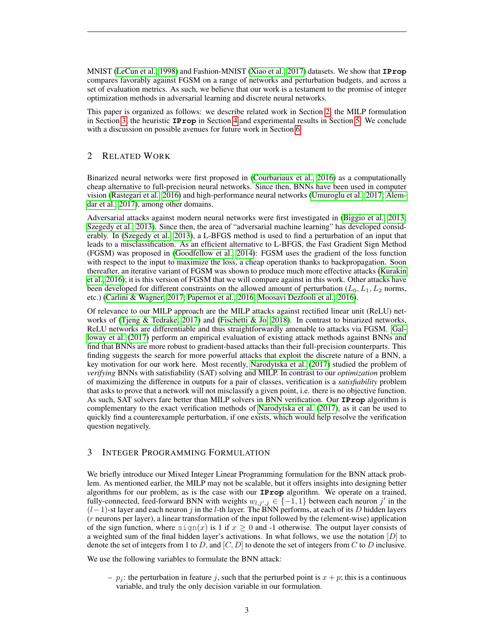MNIST [\(LeCun et al., 1998\)](#page-11-4) and Fashion-MNIST [\(Xiao et al., 2017\)](#page-11-5) datasets. We show that **IProp** compares favorably against FGSM on a range of networks and perturbation budgets, and across a set of evaluation metrics. As such, we believe that our work is a testament to the promise of integer optimization methods in adversarial learning and discrete neural networks.

This paper is organized as follows: we describe related work in Section [2,](#page-2-0) the MILP formulation in Section [3,](#page-2-1) the heuristic **IProp** in Section [4](#page-3-0) and experimental results in Section [5.](#page-6-0) We conclude with a discussion on possible avenues for future work in Section [6.](#page-8-0)

## <span id="page-2-0"></span>2 RELATED WORK

Binarized neural networks were first proposed in [\(Courbariaux et al., 2016\)](#page-10-3) as a computationally cheap alternative to full-precision neural networks. Since then, BNNs have been used in computer vision [\(Rastegari et al., 2016\)](#page-11-6) and high-performance neural networks [\(Umuroglu et al., 2017;](#page-11-7) [Alem](#page-10-7)[dar et al., 2017\)](#page-10-7), among other domains.

Adversarial attacks against modern neural networks were first investigated in [\(Biggio et al., 2013;](#page-10-8) [Szegedy et al., 2013\)](#page-11-8). Since then, the area of "adversarial machine learning" has developed considerably. In [\(Szegedy et al., 2013\)](#page-11-8), a L-BFGS method is used to find a perturbation of an input that leads to a misclassification. As an efficient alternative to L-BFGS, the Fast Gradient Sign Method (FGSM) was proposed in [\(Goodfellow et al., 2014\)](#page-10-0): FGSM uses the gradient of the loss function with respect to the input to maximize the loss, a cheap operation thanks to backpropagation. Soon thereafter, an iterative variant of FGSM was shown to produce much more effective attacks [\(Kurakin](#page-10-1) [et al., 2016\)](#page-10-1); it is this version of FGSM that we will compare against in this work. Other attacks have been developed for different constraints on the allowed amount of perturbation ( $L_0, L_1, L_2$  norms, etc.) [\(Carlini & Wagner, 2017;](#page-10-9) [Papernot et al., 2016;](#page-11-9) [Moosavi Dezfooli et al., 2016\)](#page-11-10).

Of relevance to our MILP approach are the MILP attacks against rectified linear unit (ReLU) networks of [\(Tjeng & Tedrake, 2017\)](#page-11-2) and [\(Fischetti & Jo, 2018\)](#page-10-10). In contrast to binarized networks, ReLU networks are differentiable and thus straightforwardly amenable to attacks via FGSM. [Gal](#page-10-11)[loway et al.](#page-10-11) [\(2017\)](#page-10-11) perform an empirical evaluation of existing attack methods against BNNs and find that BNNs are more robust to gradient-based attacks than their full-precision counterparts. This finding suggests the search for more powerful attacks that exploit the discrete nature of a BNN, a key motivation for our work here. Most recently, [Narodytska et al.](#page-11-11) [\(2017\)](#page-11-11) studied the problem of *verifying* BNNs with satisfiability (SAT) solving and MILP. In contrast to our *optimization* problem of maximizing the difference in outputs for a pair of classes, verification is a *satisfiability* problem that asks to prove that a network will not misclassify a given point, i.e. there is no objective function. As such, SAT solvers fare better than MILP solvers in BNN verification. Our **IProp** algorithm is complementary to the exact verification methods of [Narodytska et al.](#page-11-11) [\(2017\)](#page-11-11), as it can be used to quickly find a counterexample perturbation, if one exists, which would help resolve the verification question negatively.

## <span id="page-2-1"></span>3 INTEGER PROGRAMMING FORMULATION

We briefly introduce our Mixed Integer Linear Programming formulation for the BNN attack problem. As mentioned earlier, the MILP may not be scalable, but it offers insights into designing better algorithms for our problem, as is the case with our **IProp** algorithm. We operate on a trained, fully-connected, feed-forward BNN with weights  $w_{l,j',j} \in \{-1,1\}$  between each neuron j' in the  $(l-1)$ -st layer and each neuron j in the l-th layer. The BNN performs, at each of its D hidden layers (r neurons per layer), a linear transformation of the input followed by the (element-wise) application of the sign function, where  $\sin(x)$  is 1 if  $x \ge 0$  and -1 otherwise. The output layer consists of a weighted sum of the final hidden layer's activations. In what follows, we use the notation  $[D]$  to denote the set of integers from 1 to D, and  $[C, D]$  to denote the set of integers from C to D inclusive.

We use the following variables to formulate the BNN attack:

–  $p_i$ : the perturbation in feature j, such that the perturbed point is  $x + p$ ; this is a continuous variable, and truly the only decision variable in our formulation.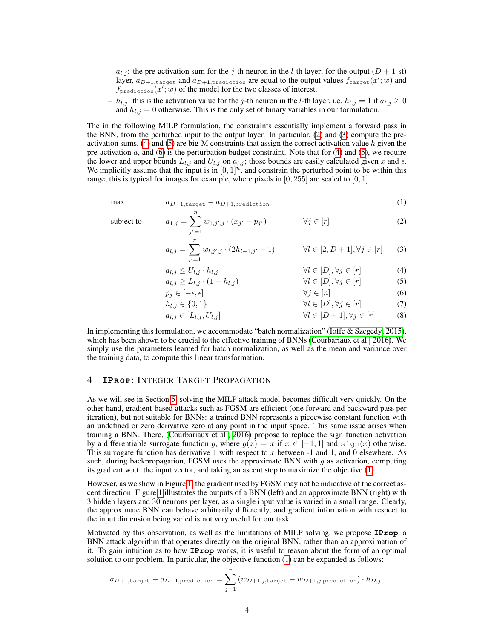- $a_{l,j}$ : the pre-activation sum for the j-th neuron in the l-th layer; for the output  $(D + 1$ -st) layer,  $a_{D+1,\text{target}}$  and  $a_{D+1,\text{prediction}}$  are equal to the output values  $f_{\text{target}}(x';w)$  and  $f_{\text{prediction}}(x'; w)$  of the model for the two classes of interest.
- $h_{l,j}$ : this is the activation value for the j-th neuron in the l-th layer, i.e.  $h_{l,j} = 1$  if  $a_{l,j} \ge 0$ and  $h_{l,j} = 0$  otherwise. This is the only set of binary variables in our formulation.

The in the following MILP formulation, the constraints essentially implement a forward pass in the BNN, from the perturbed input to the output layer. In particular, [\(2\)](#page-3-1) and [\(3\)](#page-3-2) compute the preactivation sums,  $(4)$  and  $(5)$  are big-M constraints that assign the correct activation value h given the pre-activation  $a$ , and [\(6\)](#page-3-5) is the perturbation budget constraint. Note that for [\(4\)](#page-3-3) and [\(5\)](#page-3-4), we require the lower and upper bounds  $L_{l,j}$  and  $U_{l,j}$  on  $a_{l,j}$ ; those bounds are easily calculated given x and  $\epsilon$ . We implicitly assume that the input is in  $[0, 1]^n$ , and constrain the perturbed point to be within this range; this is typical for images for example, where pixels in  $[0, 255]$  are scaled to  $[0, 1]$ .

$$
\max \qquad a_{D+1,\text{target}} - a_{D+1,\text{prediction}} \tag{1}
$$

subject to

$$
a_{1,j} = \sum_{j'=1}^{N} w_{1,j',j} \cdot (x_{j'} + p_{j'}) \qquad \forall j \in [r]
$$
 (2)

$$
a_{l,j} = \sum_{j'=1}^{r} w_{l,j',j} \cdot (2h_{l-1,j'} - 1) \qquad \forall l \in [2, D+1], \forall j \in [r] \qquad (3)
$$

$$
a_{l,j} \le U_{l,j} \cdot h_{l,j} \qquad \qquad \forall l \in [D], \forall j \in [r] \tag{4}
$$

$$
a_{l,j} \ge L_{l,j} \cdot (1 - h_{l,j}) \qquad \qquad \forall l \in [D], \forall j \in [r] \qquad (5)
$$

$$
p_j \in [-\epsilon, \epsilon] \qquad \qquad \forall j \in [n] \qquad \qquad (6)
$$

$$
h_{l,j} \in \{0,1\} \qquad \qquad \forall l \in [D], \forall j \in [r] \qquad (7)
$$
  
\n
$$
a_{l,j} \in [L_{l,j}, U_{l,j}] \qquad \qquad \forall l \in [D+1], \forall j \in [r] \qquad (8)
$$

In implementing this formulation, we accommodate "batch normalization" [\(Ioffe & Szegedy, 2015\)](#page-10-12), which has been shown to be crucial to the effective training of BNNs [\(Courbariaux et al., 2016\)](#page-10-3). We simply use the parameters learned for batch normalization, as well as the mean and variance over the training data, to compute this linear transformation.

## <span id="page-3-0"></span>4 **IPROP: INTEGER TARGET PROPAGATION**

<span id="page-3-6"></span><span id="page-3-5"></span><span id="page-3-4"></span><span id="page-3-3"></span><span id="page-3-2"></span><span id="page-3-1"></span>n

As we will see in Section [5,](#page-6-0) solving the MILP attack model becomes difficult very quickly. On the other hand, gradient-based attacks such as FGSM are efficient (one forward and backward pass per iteration), but not suitable for BNNs: a trained BNN represents a piecewise constant function with an undefined or zero derivative zero at any point in the input space. This same issue arises when training a BNN. There, [\(Courbariaux et al., 2016\)](#page-10-3) propose to replace the sign function activation by a differentiable surrogate function g, where  $g(x) = x$  if  $x \in [-1,1]$  and  $\text{sign}(x)$  otherwise. This surrogate function has derivative 1 with respect to x between  $-1$  and 1, and 0 elsewhere. As such, during backpropagation, FGSM uses the approximate BNN with  $g$  as activation, computing its gradient w.r.t. the input vector, and taking an ascent step to maximize the objective [\(1\)](#page-3-6).

However, as we show in Figure [1,](#page-4-0) the gradient used by FGSM may not be indicative of the correct ascent direction. Figure [1](#page-4-0) illustrates the outputs of a BNN (left) and an approximate BNN (right) with 3 hidden layers and 30 neurons per layer, as a single input value is varied in a small range. Clearly, the approximate BNN can behave arbitrarily differently, and gradient information with respect to the input dimension being varied is not very useful for our task.

Motivated by this observation, as well as the limitations of MILP solving, we propose **IProp**, a BNN attack algorithm that operates directly on the original BNN, rather than an approximation of it. To gain intuition as to how **IProp** works, it is useful to reason about the form of an optimal solution to our problem. In particular, the objective function [\(1\)](#page-3-6) can be expanded as follows:

$$
a_{D+1,\text{target}} - a_{D+1,\text{prediction}} = \sum_{j=1}^{r} (w_{D+1,j,\text{target}} - w_{D+1,j,\text{prediction}}) \cdot h_{D,j}.
$$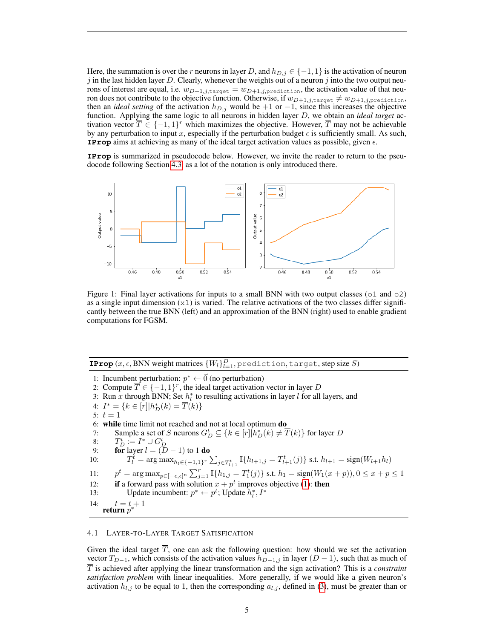Here, the summation is over the r neurons in layer D, and  $h_{D,j} \in \{-1,1\}$  is the activation of neuron j in the last hidden layer D. Clearly, whenever the weights out of a neuron j into the two output neurons of interest are equal, i.e.  $w_{D+1,j,\text{target}} = w_{D+1,j,\text{prediction}}$ , the activation value of that neuron does not contribute to the objective function. Otherwise, if  $w_{D+1,j,\text{target}} \neq w_{D+1,j,\text{prediction}}$ , then an *ideal setting* of the activation  $h_{D,j}$  would be +1 or −1, since this increases the objective function. Applying the same logic to all neurons in hidden layer D, we obtain an *ideal target* activation vector  $\overline{T} \in \{-1,1\}^r$  which maximizes the objective. However,  $\overline{T}$  may not be achievable by any perturbation to input x, especially if the perturbation budget  $\epsilon$  is sufficiently small. As such, **IProp** aims at achieving as many of the ideal target activation values as possible, given  $\epsilon$ .

**IProp** is summarized in pseudocode below. However, we invite the reader to return to the pseudocode following Section [4.3,](#page-5-0) as a lot of the notation is only introduced there.

<span id="page-4-0"></span>

Figure 1: Final layer activations for inputs to a small BNN with two output classes ( $\circ$ 1 and  $\circ$ 2) as a single input dimension  $(x1)$  is varied. The relative activations of the two classes differ significantly between the true BNN (left) and an approximation of the BNN (right) used to enable gradient computations for FGSM.

## **IProp**  $(x, \epsilon,$  BNN weight matrices  $\{W_l\}_{l=1}^D$ , prediction, target, step size S)

1: Incumbent perturbation:  $p^* \leftarrow \vec{0}$  (no perturbation) 2: Compute  $\overline{T} \in \{-1, 1\}^r$ , the ideal target activation vector in layer D 3: Run x through BNN; Set  $h_l^*$  to resulting activations in layer l for all layers, and 4:  $I^* = \{k \in [r] | h_D^*(k) = \overline{T}(k) \}$ 5:  $t = 1$ 6: while time limit not reached and not at local optimum do 7: Sample a set of S neurons  $G_D^t \subseteq \{k \in [r] | h_D^*(k) \neq \overline{T}(k)\}$  for layer D 8:  $T_D^t := I^* \cup G_D^t$ <br>9: **for** layer  $l = (D-1)$  to 1 **do** 10:  $T_l^{\tilde{t}} = \arg \max_{h_l \in \{-1,1\}^r} \sum_{j \in T_{l+1}^t} \mathbb{I}\{h_{l+1,j} = T_{l+1}^t(j)\} \text{ s.t. } h_{l+1} = \text{sign}(W_{l+1}h_l)$  $11:$  $t = \arg \max_{p \in [-\epsilon, \epsilon]^n} \sum_{j=1}^r \mathbb{I}\{h_{1,j} = T_1^t(j)\}$  s.t.  $h_1 = \text{sign}(W_1(x+p)), 0 \le x + p \le 1$ 12: if a forward pass with solution  $x + p^t$  improves objective [\(1\)](#page-3-6): then 13: Update incumbent:  $p^* \leftarrow p^t$ ; Update  $h_l^*, I^*$ 14:  $t = t + 1$ return  $p^*$ 

#### 4.1 LAYER-TO-LAYER TARGET SATISFICATION

Given the ideal target  $\overline{T}$ , one can ask the following question: how should we set the activation vector  $T_{D-1}$ , which consists of the activation values  $h_{D-1,j}$  in layer  $(D-1)$ , such that as much of  $\overline{T}$  is achieved after applying the linear transformation and the sign activation? This is a *constraint satisfaction problem* with linear inequalities. More generally, if we would like a given neuron's activation  $h_{l,j}$  to be equal to 1, then the corresponding  $a_{l,j}$ , defined in [\(3\)](#page-3-2), must be greater than or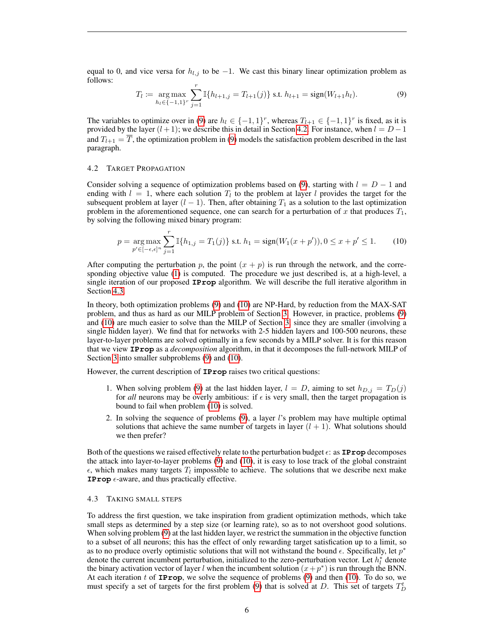equal to 0, and vice versa for  $h_{l,i}$  to be  $-1$ . We cast this binary linear optimization problem as follows:

<span id="page-5-1"></span>
$$
T_l := \underset{h_l \in \{-1,1\}^r}{\arg \max} \sum_{j=1}^r \mathbb{I}\{h_{l+1,j} = T_{l+1}(j)\} \text{ s.t. } h_{l+1} = \text{sign}(W_{l+1}h_l). \tag{9}
$$

The variables to optimize over in [\(9\)](#page-5-1) are  $h_l \in \{-1,1\}^r$ , whereas  $T_{l+1} \in \{-1,1\}^r$  is fixed, as it is provided by the layer  $(l + 1)$ ; we describe this in detail in Section [4.2.](#page-5-2) For instance, when  $l = D - 1$ and  $T_{l+1} = \overline{T}$ , the optimization problem in [\(9\)](#page-5-1) models the satisfaction problem described in the last paragraph.

#### <span id="page-5-2"></span>4.2 TARGET PROPAGATION

Consider solving a sequence of optimization problems based on [\(9\)](#page-5-1), starting with  $l = D - 1$  and ending with  $l = 1$ , where each solution  $T_l$  to the problem at layer l provides the target for the subsequent problem at layer  $(l - 1)$ . Then, after obtaining  $T_1$  as a solution to the last optimization problem in the aforementioned sequence, one can search for a perturbation of x that produces  $T_1$ , by solving the following mixed binary program:

<span id="page-5-3"></span>
$$
p = \underset{p' \in [-\epsilon, \epsilon]^n}{\arg \max} \sum_{j=1}^r \mathbb{I}\{h_{1,j} = T_1(j)\} \text{ s.t. } h_1 = \text{sign}(W_1(x + p')), 0 \le x + p' \le 1. \tag{10}
$$

After computing the perturbation p, the point  $(x + p)$  is run through the network, and the corresponding objective value [\(1\)](#page-3-6) is computed. The procedure we just described is, at a high-level, a single iteration of our proposed **IProp** algorithm. We will describe the full iterative algorithm in Section [4.3.](#page-5-0)

In theory, both optimization problems [\(9\)](#page-5-1) and [\(10\)](#page-5-3) are NP-Hard, by reduction from the MAX-SAT problem, and thus as hard as our MILP problem of Section [3.](#page-2-1) However, in practice, problems [\(9\)](#page-5-1) and [\(10\)](#page-5-3) are much easier to solve than the MILP of Section [3,](#page-2-1) since they are smaller (involving a single hidden layer). We find that for networks with 2-5 hidden layers and 100-500 neurons, these layer-to-layer problems are solved optimally in a few seconds by a MILP solver. It is for this reason that we view **IProp** as a *decomposition* algorithm, in that it decomposes the full-network MILP of Section [3](#page-2-1) into smaller subproblems  $(9)$  and  $(10)$ .

However, the current description of **IProp** raises two critical questions:

- 1. When solving problem [\(9\)](#page-5-1) at the last hidden layer,  $l = D$ , aiming to set  $h_{D,j} = T_D(j)$ for *all* neurons may be overly ambitious: if  $\epsilon$  is very small, then the target propagation is bound to fail when problem [\(10\)](#page-5-3) is solved.
- 2. In solving the sequence of problems [\(9\)](#page-5-1), a layer l's problem may have multiple optimal solutions that achieve the same number of targets in layer  $(l + 1)$ . What solutions should we then prefer?

Both of the questions we raised effectively relate to the perturbation budget  $\epsilon$ : as **IProp** decomposes the attack into layer-to-layer problems [\(9\)](#page-5-1) and [\(10\)](#page-5-3), it is easy to lose track of the global constraint  $\epsilon$ , which makes many targets  $T_l$  impossible to achieve. The solutions that we describe next make **IProp**  $\epsilon$ -aware, and thus practically effective.

#### <span id="page-5-0"></span>4.3 TAKING SMALL STEPS

To address the first question, we take inspiration from gradient optimization methods, which take small steps as determined by a step size (or learning rate), so as to not overshoot good solutions. When solving problem [\(9\)](#page-5-1) at the last hidden layer, we restrict the summation in the objective function to a subset of all neurons; this has the effect of only rewarding target satisfication up to a limit, so as to no produce overly optimistic solutions that will not withstand the bound  $\epsilon$ . Specifically, let  $p^*$ denote the current incumbent perturbation, initialized to the zero-perturbation vector. Let  $h_l^*$  denote the binary activation vector of layer l when the incumbent solution  $(x+p^*)$  is run through the BNN. At each iteration t of **IProp**, we solve the sequence of problems  $(9)$  and then  $(10)$ . To do so, we must specify a set of targets for the first problem [\(9\)](#page-5-1) that is solved at D. This set of targets  $T_D^t$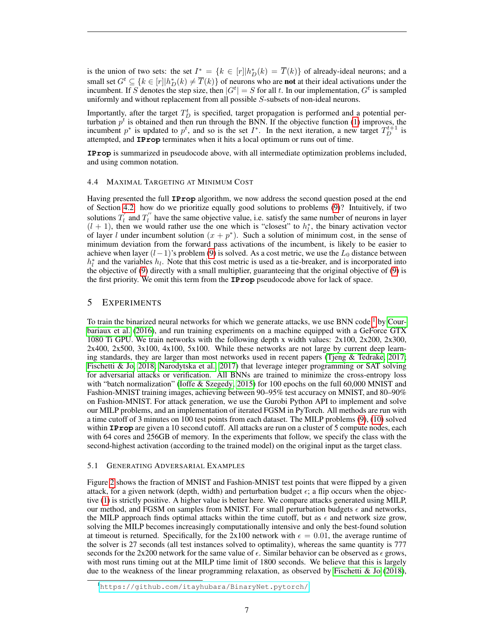is the union of two sets: the set  $I^* = \{k \in [r] | h_D^*(k) = \overline{T}(k)\}$  of already-ideal neurons; and a small set  $G^t \subseteq \{k \in [r] | h_D^*(k) \neq \overline{T}(k)\}$  of neurons who are **not** at their ideal activations under the incumbent. If S denotes the step size, then  $|G^t| = S$  for all t. In our implementation,  $G^t$  is sampled uniformly and without replacement from all possible S-subsets of non-ideal neurons.

Importantly, after the target  $T_D^t$  is specified, target propagation is performed and a potential perturbation  $p^t$  is obtained and then run through the BNN. If the objective function [\(1\)](#page-3-6) improves, the incumbent  $p^*$  is updated to  $p^t$ , and so is the set  $I^*$ . In the next iteration, a new target  $T_D^{t+1}$  is attempted, and **IProp** terminates when it hits a local optimum or runs out of time.

**IProp** is summarized in pseudocode above, with all intermediate optimization problems included, and using common notation.

#### 4.4 MAXIMAL TARGETING AT MINIMUM COST

Having presented the full **IProp** algorithm, we now address the second question posed at the end of Section [4.2:](#page-5-2) how do we prioritize equally good solutions to problems [\(9\)](#page-5-1)? Intuitively, if two solutions  $T'_l$  and  $T''_l$  have the same objective value, i.e. satisfy the same number of neurons in layer  $(l + 1)$ , then we would rather use the one which is "closest" to  $h_l^*$ , the binary activation vector of layer l under incumbent solution  $(x + p^*)$ . Such a solution of minimum cost, in the sense of minimum deviation from the forward pass activations of the incumbent, is likely to be easier to achieve when layer  $(l-1)$ 's problem [\(9\)](#page-5-1) is solved. As a cost metric, we use the  $L_0$  distance between  $h_l^*$  and the variables  $h_l$ . Note that this cost metric is used as a tie-breaker, and is incorporated into the objective of [\(9\)](#page-5-1) directly with a small multiplier, guaranteeing that the original objective of [\(9\)](#page-5-1) is the first priority. We omit this term from the **IProp** pseudocode above for lack of space.

## <span id="page-6-0"></span>5 EXPERIMENTS

To train the binarized neural networks for which we generate attacks, we use BNN code  $<sup>1</sup>$  $<sup>1</sup>$  $<sup>1</sup>$  by Cour-</sup> [bariaux et al.](#page-10-3) [\(2016\)](#page-10-3), and run training experiments on a machine equipped with a GeForce GTX 1080 Ti GPU. We train networks with the following depth x width values: 2x100, 2x200, 2x300, 2x400, 2x500, 3x100, 4x100, 5x100. While these networks are not large by current deep learning standards, they are larger than most networks used in recent papers [\(Tjeng & Tedrake, 2017;](#page-11-2) [Fischetti & Jo, 2018;](#page-10-10) [Narodytska et al., 2017\)](#page-11-11) that leverage integer programming or SAT solving for adversarial attacks or verification. All BNNs are trained to minimize the cross-entropy loss with "batch normalization" [\(Ioffe & Szegedy, 2015\)](#page-10-12) for 100 epochs on the full 60,000 MNIST and Fashion-MNIST training images, achieving between 90–95% test accuracy on MNIST, and 80–90% on Fashion-MNIST. For attack generation, we use the Gurobi Python API to implement and solve our MILP problems, and an implementation of iterated FGSM in PyTorch. All methods are run with a time cutoff of 3 minutes on 100 test points from each dataset. The MILP problems [\(9\)](#page-5-1), [\(10\)](#page-5-3) solved within **IProp** are given a 10 second cutoff. All attacks are run on a cluster of 5 compute nodes, each with 64 cores and 256GB of memory. In the experiments that follow, we specify the class with the second-highest activation (according to the trained model) on the original input as the target class.

#### 5.1 GENERATING ADVERSARIAL EXAMPLES

Figure [2](#page-7-0) shows the fraction of MNIST and Fashion-MNIST test points that were flipped by a given attack, for a given network (depth, width) and perturbation budget  $\epsilon$ ; a flip occurs when the objective [\(1\)](#page-3-6) is strictly positive. A higher value is better here. We compare attacks generated using MILP, our method, and FGSM on samples from MNIST. For small perturbation budgets  $\epsilon$  and networks, the MILP approach finds optimal attacks within the time cutoff, but as  $\epsilon$  and network size grow, solving the MILP becomes increasingly computationally intensive and only the best-found solution at timeout is returned. Specifically, for the  $2x100$  network with  $\epsilon = 0.01$ , the average runtime of the solver is 27 seconds (all test instances solved to optimality), whereas the same quantity is 777 seconds for the 2x200 network for the same value of  $\epsilon$ . Similar behavior can be observed as  $\epsilon$  grows, with most runs timing out at the MILP time limit of 1800 seconds. We believe that this is largely due to the weakness of the linear programming relaxation, as observed by [Fischetti & Jo](#page-10-10) [\(2018\)](#page-10-10),

<span id="page-6-1"></span><sup>1</sup><https://github.com/itayhubara/BinaryNet.pytorch/>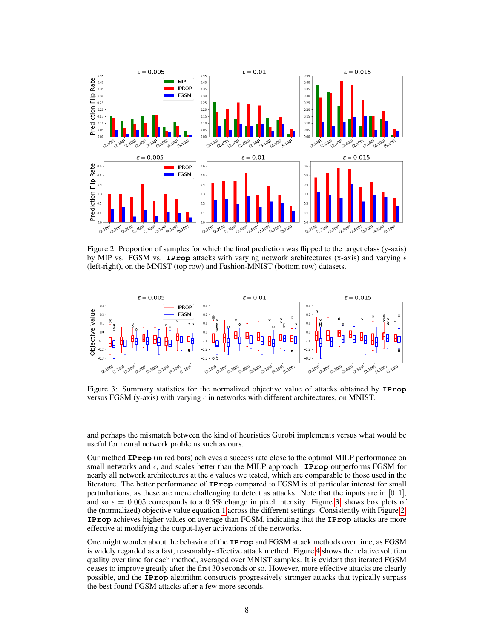<span id="page-7-0"></span>

Figure 2: Proportion of samples for which the final prediction was flipped to the target class (y-axis) by MIP vs. FGSM vs. **IProp** attacks with varying network architectures (x-axis) and varying  $\epsilon$ (left-right), on the MNIST (top row) and Fashion-MNIST (bottom row) datasets.

<span id="page-7-1"></span>

Figure 3: Summary statistics for the normalized objective value of attacks obtained by **IProp** versus FGSM (y-axis) with varying  $\epsilon$  in networks with different architectures, on MNIST.

and perhaps the mismatch between the kind of heuristics Gurobi implements versus what would be useful for neural network problems such as ours.

Our method **IProp** (in red bars) achieves a success rate close to the optimal MILP performance on small networks and  $\epsilon$ , and scales better than the MILP approach. **IProp** outperforms FGSM for nearly all network architectures at the  $\epsilon$  values we tested, which are comparable to those used in the literature. The better performance of **IProp** compared to FGSM is of particular interest for small perturbations, as these are more challenging to detect as attacks. Note that the inputs are in  $[0, 1]$ , and so  $\epsilon = 0.005$  corresponds to a 0.5% change in pixel intensity. Figure [3,](#page-7-1) shows box plots of the (normalized) objective value equation [1](#page-3-6) across the different settings. Consistently with Figure [2,](#page-7-0) **IProp** achieves higher values on average than FGSM, indicating that the **IProp** attacks are more effective at modifying the output-layer activations of the networks.

One might wonder about the behavior of the **IProp** and FGSM attack methods over time, as FGSM is widely regarded as a fast, reasonably-effective attack method. Figure [4](#page-8-1) shows the relative solution quality over time for each method, averaged over MNIST samples. It is evident that iterated FGSM ceases to improve greatly after the first 30 seconds or so. However, more effective attacks are clearly possible, and the **IProp** algorithm constructs progressively stronger attacks that typically surpass the best found FGSM attacks after a few more seconds.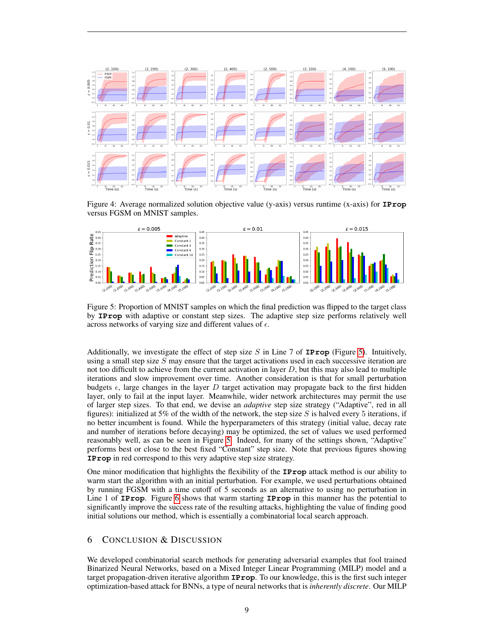<span id="page-8-1"></span>

Figure 4: Average normalized solution objective value (y-axis) versus runtime (x-axis) for **IProp** versus FGSM on MNIST samples.

<span id="page-8-2"></span>

Figure 5: Proportion of MNIST samples on which the final prediction was flipped to the target class by **IProp** with adaptive or constant step sizes. The adaptive step size performs relatively well across networks of varying size and different values of  $\epsilon$ .

Additionally, we investigate the effect of step size S in Line 7 of **IProp** (Figure [5\)](#page-8-2). Intuitively, using a small step size  $S$  may ensure that the target activations used in each successive iteration are not too difficult to achieve from the current activation in layer  $D$ , but this may also lead to multiple iterations and slow improvement over time. Another consideration is that for small perturbation budgets  $\epsilon$ , large changes in the layer D target activation may propagate back to the first hidden layer, only to fail at the input layer. Meanwhile, wider network architectures may permit the use of larger step sizes. To that end, we devise an *adaptive* step size strategy ("Adaptive", red in all figures): initialized at 5% of the width of the network, the step size S is halved every 5 iterations, if no better incumbent is found. While the hyperparameters of this strategy (initial value, decay rate and number of iterations before decaying) may be optimized, the set of values we used performed reasonably well, as can be seen in Figure [5.](#page-8-2) Indeed, for many of the settings shown, "Adaptive" performs best or close to the best fixed "Constant" step size. Note that previous figures showing **IProp** in red correspond to this very adaptive step size strategy.

One minor modification that highlights the flexibility of the **IProp** attack method is our ability to warm start the algorithm with an initial perturbation. For example, we used perturbations obtained by running FGSM with a time cutoff of 5 seconds as an alternative to using no perturbation in Line 1 of **IProp**. Figure [6](#page-9-0) shows that warm starting **IProp** in this manner has the potential to significantly improve the success rate of the resulting attacks, highlighting the value of finding good initial solutions our method, which is essentially a combinatorial local search approach.

## <span id="page-8-0"></span>6 CONCLUSION & DISCUSSION

We developed combinatorial search methods for generating adversarial examples that fool trained Binarized Neural Networks, based on a Mixed Integer Linear Programming (MILP) model and a target propagation-driven iterative algorithm **IProp**. To our knowledge, this is the first such integer optimization-based attack for BNNs, a type of neural networks that is *inherently discrete*. Our MILP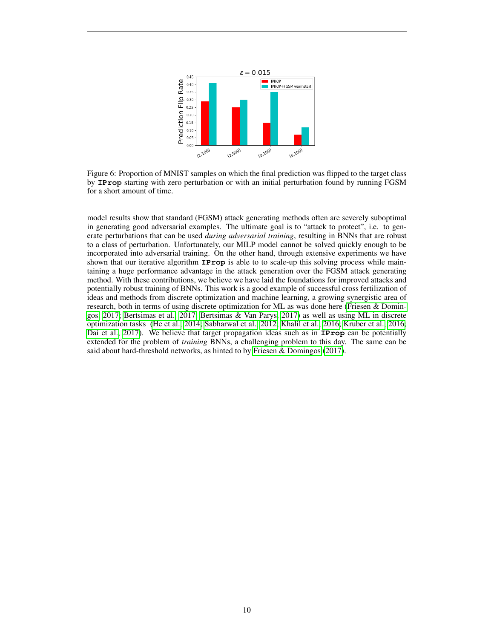<span id="page-9-0"></span>

Figure 6: Proportion of MNIST samples on which the final prediction was flipped to the target class by **IProp** starting with zero perturbation or with an initial perturbation found by running FGSM for a short amount of time.

model results show that standard (FGSM) attack generating methods often are severely suboptimal in generating good adversarial examples. The ultimate goal is to "attack to protect", i.e. to generate perturbations that can be used *during adversarial training*, resulting in BNNs that are robust to a class of perturbation. Unfortunately, our MILP model cannot be solved quickly enough to be incorporated into adversarial training. On the other hand, through extensive experiments we have shown that our iterative algorithm **IProp** is able to to scale-up this solving process while maintaining a huge performance advantage in the attack generation over the FGSM attack generating method. With these contributions, we believe we have laid the foundations for improved attacks and potentially robust training of BNNs. This work is a good example of successful cross fertilization of ideas and methods from discrete optimization and machine learning, a growing synergistic area of research, both in terms of using discrete optimization for ML as was done here [\(Friesen & Domin](#page-10-6)[gos, 2017;](#page-10-6) [Bertsimas et al., 2017;](#page-10-13) [Bertsimas & Van Parys, 2017\)](#page-10-14) as well as using ML in discrete optimization tasks [\(He et al., 2014;](#page-10-15) [Sabharwal et al., 2012;](#page-11-12) [Khalil et al., 2016;](#page-10-16) [Kruber et al., 2016;](#page-10-17) [Dai et al., 2017\)](#page-10-18). We believe that target propagation ideas such as in **IProp** can be potentially extended for the problem of *training* BNNs, a challenging problem to this day. The same can be said about hard-threshold networks, as hinted to by [Friesen & Domingos](#page-10-6) [\(2017\)](#page-10-6).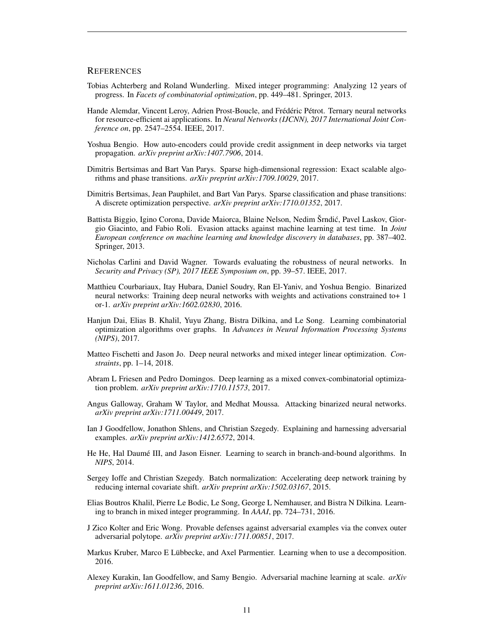#### **REFERENCES**

- <span id="page-10-4"></span>Tobias Achterberg and Roland Wunderling. Mixed integer programming: Analyzing 12 years of progress. In *Facets of combinatorial optimization*, pp. 449–481. Springer, 2013.
- <span id="page-10-7"></span>Hande Alemdar, Vincent Leroy, Adrien Prost-Boucle, and Frédéric Pétrot. Ternary neural networks for resource-efficient ai applications. In *Neural Networks (IJCNN), 2017 International Joint Conference on*, pp. 2547–2554. IEEE, 2017.
- <span id="page-10-5"></span>Yoshua Bengio. How auto-encoders could provide credit assignment in deep networks via target propagation. *arXiv preprint arXiv:1407.7906*, 2014.
- <span id="page-10-14"></span>Dimitris Bertsimas and Bart Van Parys. Sparse high-dimensional regression: Exact scalable algorithms and phase transitions. *arXiv preprint arXiv:1709.10029*, 2017.
- <span id="page-10-13"></span>Dimitris Bertsimas, Jean Pauphilet, and Bart Van Parys. Sparse classification and phase transitions: A discrete optimization perspective. *arXiv preprint arXiv:1710.01352*, 2017.
- <span id="page-10-8"></span>Battista Biggio, Igino Corona, Davide Maiorca, Blaine Nelson, Nedim Šrndić, Pavel Laskov, Giorgio Giacinto, and Fabio Roli. Evasion attacks against machine learning at test time. In *Joint European conference on machine learning and knowledge discovery in databases*, pp. 387–402. Springer, 2013.
- <span id="page-10-9"></span>Nicholas Carlini and David Wagner. Towards evaluating the robustness of neural networks. In *Security and Privacy (SP), 2017 IEEE Symposium on*, pp. 39–57. IEEE, 2017.
- <span id="page-10-3"></span>Matthieu Courbariaux, Itay Hubara, Daniel Soudry, Ran El-Yaniv, and Yoshua Bengio. Binarized neural networks: Training deep neural networks with weights and activations constrained to+ 1 or-1. *arXiv preprint arXiv:1602.02830*, 2016.
- <span id="page-10-18"></span>Hanjun Dai, Elias B. Khalil, Yuyu Zhang, Bistra Dilkina, and Le Song. Learning combinatorial optimization algorithms over graphs. In *Advances in Neural Information Processing Systems (NIPS)*, 2017.
- <span id="page-10-10"></span>Matteo Fischetti and Jason Jo. Deep neural networks and mixed integer linear optimization. *Constraints*, pp. 1–14, 2018.
- <span id="page-10-6"></span>Abram L Friesen and Pedro Domingos. Deep learning as a mixed convex-combinatorial optimization problem. *arXiv preprint arXiv:1710.11573*, 2017.
- <span id="page-10-11"></span>Angus Galloway, Graham W Taylor, and Medhat Moussa. Attacking binarized neural networks. *arXiv preprint arXiv:1711.00449*, 2017.
- <span id="page-10-0"></span>Ian J Goodfellow, Jonathon Shlens, and Christian Szegedy. Explaining and harnessing adversarial examples. *arXiv preprint arXiv:1412.6572*, 2014.
- <span id="page-10-15"></span>He He, Hal Daumé III, and Jason Eisner. Learning to search in branch-and-bound algorithms. In *NIPS*, 2014.
- <span id="page-10-12"></span>Sergey Ioffe and Christian Szegedy. Batch normalization: Accelerating deep network training by reducing internal covariate shift. *arXiv preprint arXiv:1502.03167*, 2015.
- <span id="page-10-16"></span>Elias Boutros Khalil, Pierre Le Bodic, Le Song, George L Nemhauser, and Bistra N Dilkina. Learning to branch in mixed integer programming. In *AAAI*, pp. 724–731, 2016.
- <span id="page-10-2"></span>J Zico Kolter and Eric Wong. Provable defenses against adversarial examples via the convex outer adversarial polytope. *arXiv preprint arXiv:1711.00851*, 2017.
- <span id="page-10-17"></span>Markus Kruber, Marco E Lübbecke, and Axel Parmentier. Learning when to use a decomposition. 2016.
- <span id="page-10-1"></span>Alexey Kurakin, Ian Goodfellow, and Samy Bengio. Adversarial machine learning at scale. *arXiv preprint arXiv:1611.01236*, 2016.